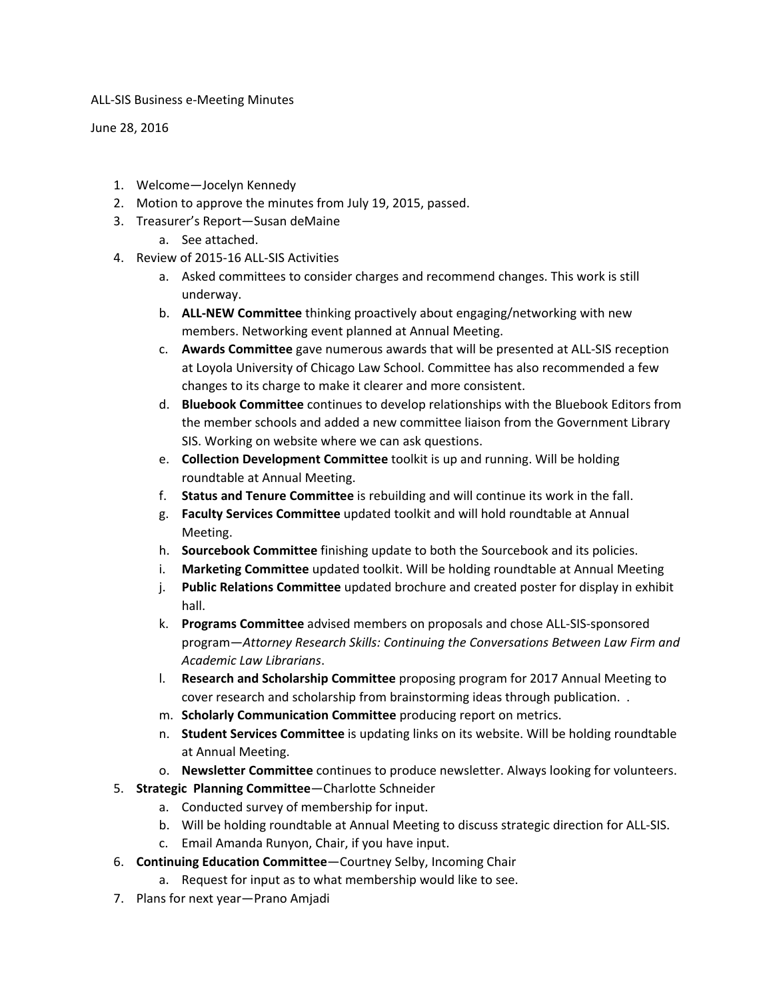ALL-SIS Business e-Meeting Minutes

June 28, 2016

- 1. Welcome—Jocelyn Kennedy
- 2. Motion to approve the minutes from July 19, 2015, passed.
- 3. Treasurer's Report—Susan deMaine
	- a. See attached.
- 4. Review of 2015-16 ALL-SIS Activities
	- a. Asked committees to consider charges and recommend changes. This work is still underway.
	- b. **ALL-NEW Committee** thinking proactively about engaging/networking with new members. Networking event planned at Annual Meeting.
	- c. **Awards Committee** gave numerous awards that will be presented at ALL-SIS reception at Loyola University of Chicago Law School. Committee has also recommended a few changes to its charge to make it clearer and more consistent.
	- d. **Bluebook Committee** continues to develop relationships with the Bluebook Editors from the member schools and added a new committee liaison from the Government Library SIS. Working on website where we can ask questions.
	- e. **Collection Development Committee** toolkit is up and running. Will be holding roundtable at Annual Meeting.
	- f. **Status and Tenure Committee** is rebuilding and will continue its work in the fall.
	- g. **Faculty Services Committee** updated toolkit and will hold roundtable at Annual Meeting.
	- h. **Sourcebook Committee** finishing update to both the Sourcebook and its policies.
	- i. **Marketing Committee** updated toolkit. Will be holding roundtable at Annual Meeting
	- j. **Public Relations Committee** updated brochure and created poster for display in exhibit hall.
	- k. **Programs Committee** advised members on proposals and chose ALL-SIS-sponsored program—*Attorney Research Skills: Continuing the Conversations Between Law Firm and Academic Law Librarians*.
	- l. **Research and Scholarship Committee** proposing program for 2017 Annual Meeting to cover research and scholarship from brainstorming ideas through publication. .
	- m. **Scholarly Communication Committee** producing report on metrics.
	- n. **Student Services Committee** is updating links on its website. Will be holding roundtable at Annual Meeting.
	- o. **Newsletter Committee** continues to produce newsletter. Always looking for volunteers.
- 5. **Strategic Planning Committee**—Charlotte Schneider
	- a. Conducted survey of membership for input.
	- b. Will be holding roundtable at Annual Meeting to discuss strategic direction for ALL-SIS.
	- c. Email Amanda Runyon, Chair, if you have input.
- 6. **Continuing Education Committee**—Courtney Selby, Incoming Chair
	- a. Request for input as to what membership would like to see.
- 7. Plans for next year—Prano Amjadi